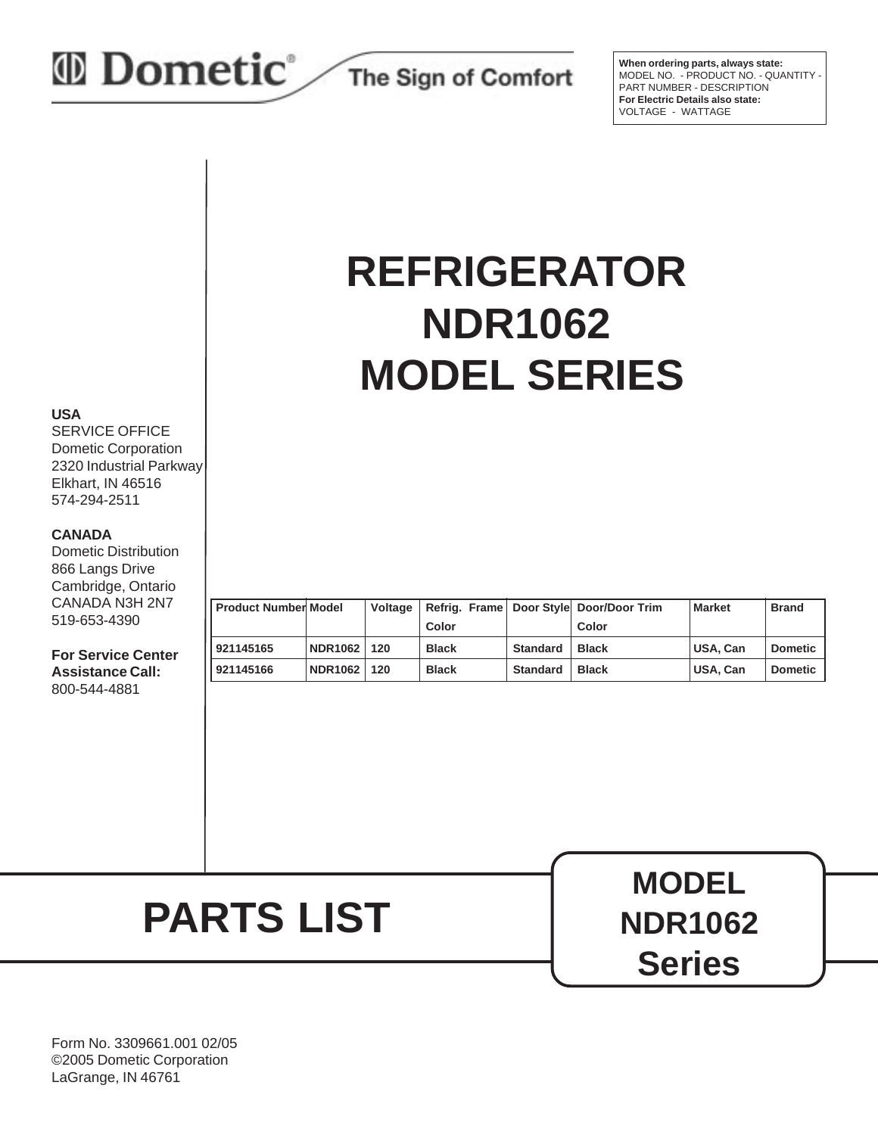## *I* Dometic<sup>®</sup>

The Sign of Comfort

**When ordering parts, always state:** MODEL NO. - PRODUCT NO. - QUANTITY PART NUMBER - DESCRIPTION **For Electric Details also state:** VOLTAGE - WATTAGE

## **REFRIGERATOR NDR1062 MODEL SERIES**

#### **USA**

SERVICE OFFICE Dometic Corporation 2320 Industrial Parkway Elkhart, IN 46516 574-294-2511

#### **CANADA**

Dometic Distribution 866 Langs Drive Cambridge, Ontario CANADA N3H 2N7 519-653-4390

**For Service Center Assistance Call:** 800-544-4881

| <b>II Product Number Model</b> |                | Voltage |              |                 | Refrig. Frame Door Style Door/Door Trim | <b>Market</b> | <b>Brand</b>   |
|--------------------------------|----------------|---------|--------------|-----------------|-----------------------------------------|---------------|----------------|
|                                |                |         | Color        |                 | Color                                   |               |                |
| 921145165                      | <b>NDR1062</b> | 120     | <b>Black</b> | <b>Standard</b> | <b>Black</b>                            | USA, Can      | <b>Dometic</b> |
| 921145166                      | <b>NDR1062</b> | 120     | <b>Black</b> | <b>Standard</b> | <b>Black</b>                            | USA, Can      | <b>Dometic</b> |

# **PARTS LIST**

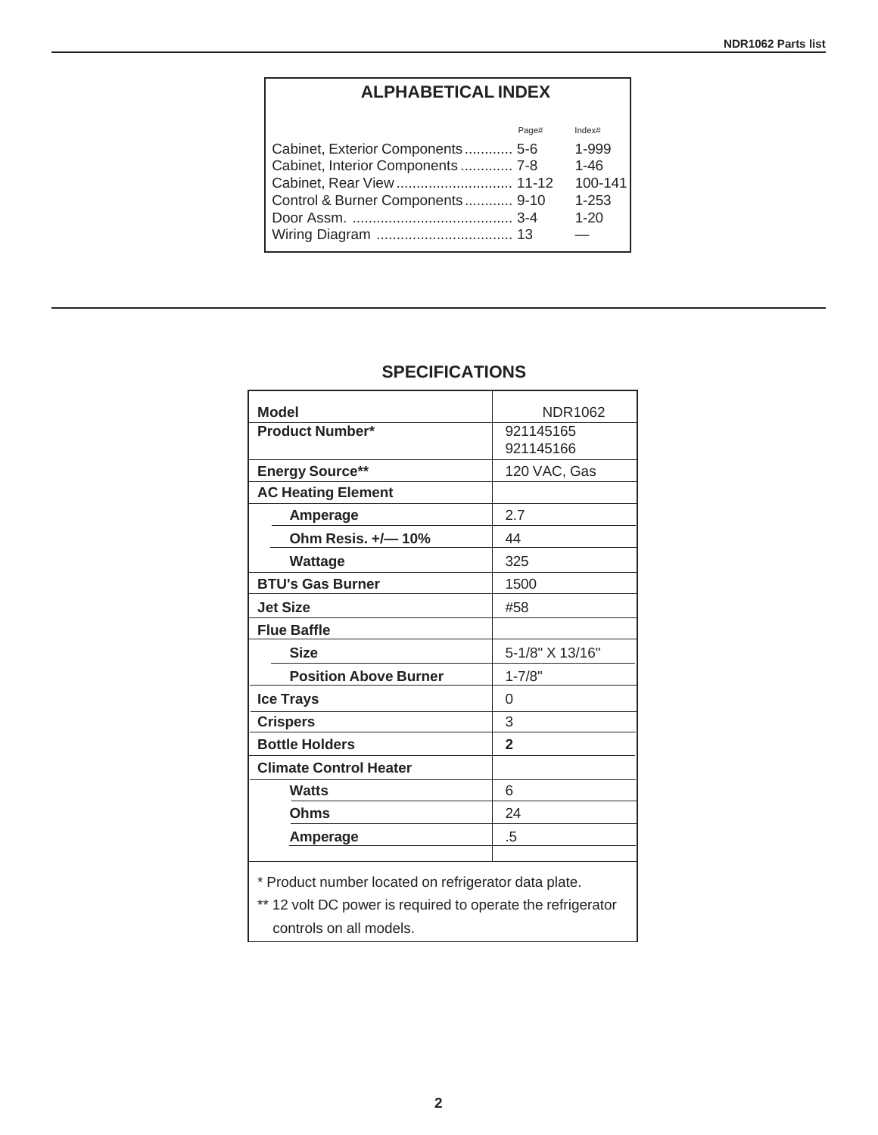## **ALPHABETICAL INDEX**

|                                   | Page# | Index#    |
|-----------------------------------|-------|-----------|
| Cabinet, Exterior Components 5-6  |       | 1-999     |
| Cabinet, Interior Components  7-8 |       | $1 - 46$  |
| Cabinet, Rear View  11-12         |       | 100-141   |
| Control & Burner Components 9-10  |       | $1 - 253$ |
|                                   |       | $1 - 20$  |
|                                   |       |           |
|                                   |       |           |

| <b>Model</b>                                                                                                        | NDR1062                |
|---------------------------------------------------------------------------------------------------------------------|------------------------|
| <b>Product Number*</b>                                                                                              | 921145165<br>921145166 |
| <b>Energy Source**</b>                                                                                              | 120 VAC, Gas           |
| <b>AC Heating Element</b>                                                                                           |                        |
| Amperage                                                                                                            | 2.7                    |
| Ohm Resis. +/-10%                                                                                                   | 44                     |
| Wattage                                                                                                             | 325                    |
| <b>BTU's Gas Burner</b>                                                                                             | 1500                   |
| <b>Jet Size</b>                                                                                                     | #58                    |
| <b>Flue Baffle</b>                                                                                                  |                        |
| <b>Size</b>                                                                                                         | 5-1/8" X 13/16"        |
| <b>Position Above Burner</b>                                                                                        | $1 - 7/8"$             |
| <b>Ice Trays</b>                                                                                                    | 0                      |
| <b>Crispers</b>                                                                                                     | 3                      |
| <b>Bottle Holders</b>                                                                                               | $\mathbf{2}$           |
| <b>Climate Control Heater</b>                                                                                       |                        |
| <b>Watts</b>                                                                                                        | 6                      |
| <b>Ohms</b>                                                                                                         | 24                     |
| Amperage                                                                                                            | .5                     |
| * Product number located on refrigerator data plate.<br>** 12 volt DC power is required to operate the refrigerator |                        |

### **SPECIFICATIONS**

12 volt DC power is required to operate the refrigerator controls on all models.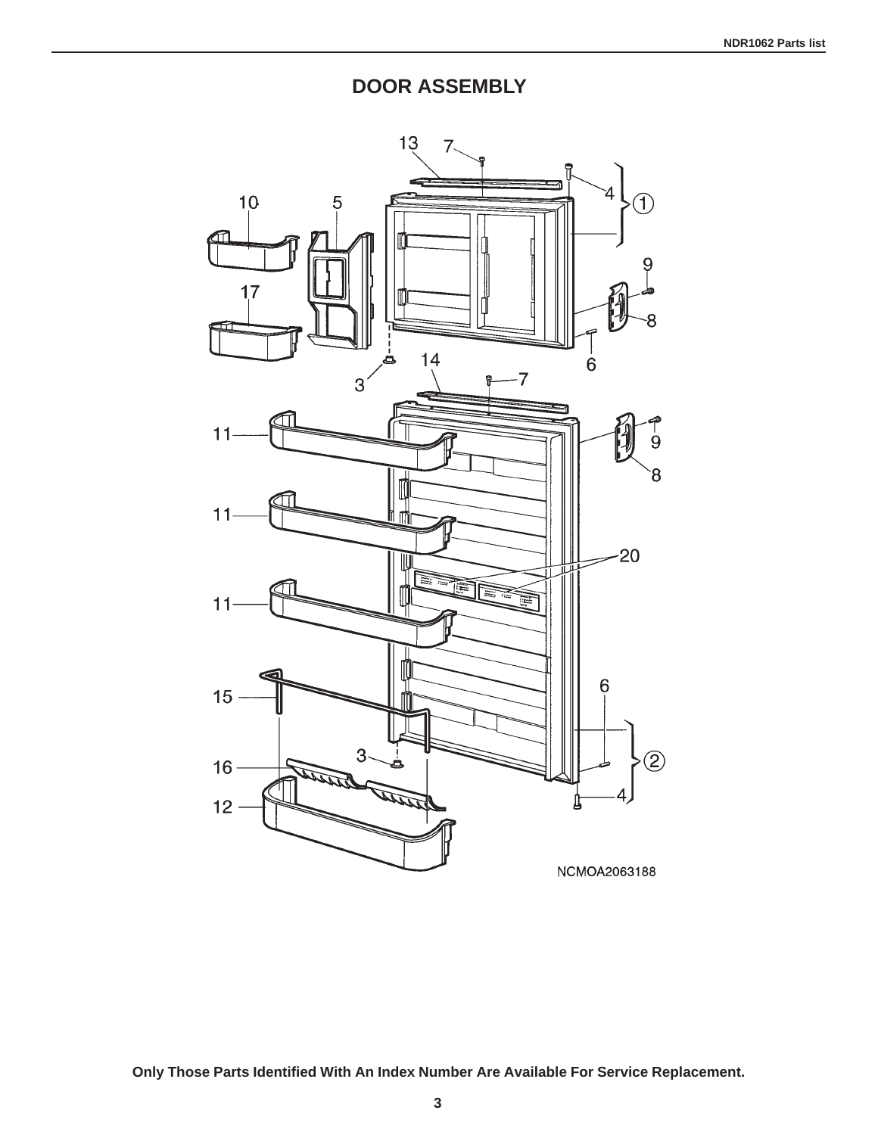**DOOR ASSEMBLY**

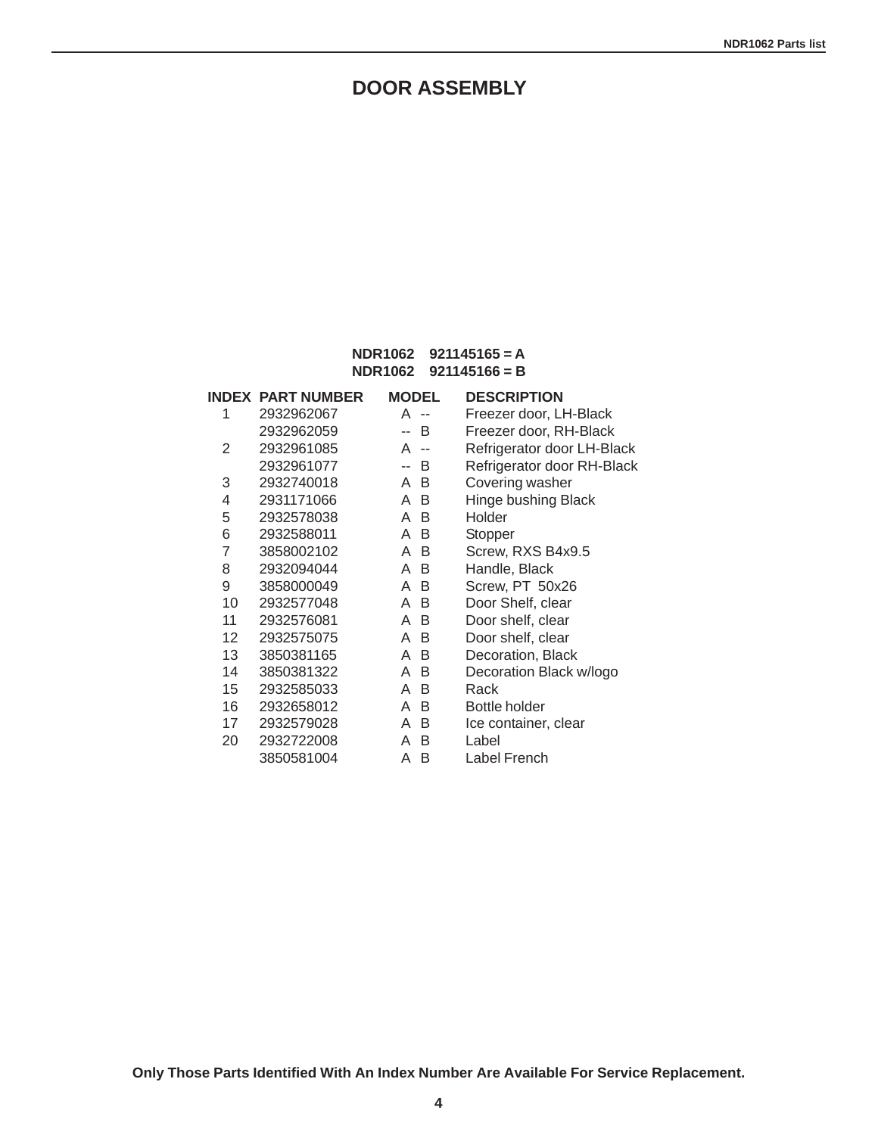## **DOOR ASSEMBLY**

#### **NDR1062 921145165 = A NDR1062 921145166 = B**

|    | <b>INDEX PART NUMBER</b> | <b>MODEL</b>       | <b>DESCRIPTION</b>         |
|----|--------------------------|--------------------|----------------------------|
| 1  | 2932962067               | A<br>$\sim$ $\sim$ | Freezer door, LH-Black     |
|    | 2932962059               | B                  | Freezer door, RH-Black     |
| 2  | 2932961085               | A<br>$\sim$ $\sim$ | Refrigerator door LH-Black |
|    | 2932961077               | B<br>--            | Refrigerator door RH-Black |
| 3  | 2932740018               | A B                | Covering washer            |
| 4  | 2931171066               | A B                | Hinge bushing Black        |
| 5  | 2932578038               | A B                | Holder                     |
| 6  | 2932588011               | A B                | Stopper                    |
| 7  | 3858002102               | A B                | Screw, RXS B4x9.5          |
| 8  | 2932094044               | A B                | Handle, Black              |
| 9  | 3858000049               | A B                | Screw, PT 50x26            |
| 10 | 2932577048               | A B                | Door Shelf, clear          |
| 11 | 2932576081               | A B                | Door shelf, clear          |
| 12 | 2932575075               | A B                | Door shelf, clear          |
| 13 | 3850381165               | A B                | Decoration, Black          |
| 14 | 3850381322               | A B                | Decoration Black w/logo    |
| 15 | 2932585033               | A B                | Rack                       |
| 16 | 2932658012               | A<br>B             | <b>Bottle holder</b>       |
| 17 | 2932579028               | A B                | Ice container, clear       |
| 20 | 2932722008               | A B                | Label                      |
|    | 3850581004               | A<br>B             | Label French               |

**Only Those Parts Identified With An Index Number Are Available For Service Replacement.**

**4**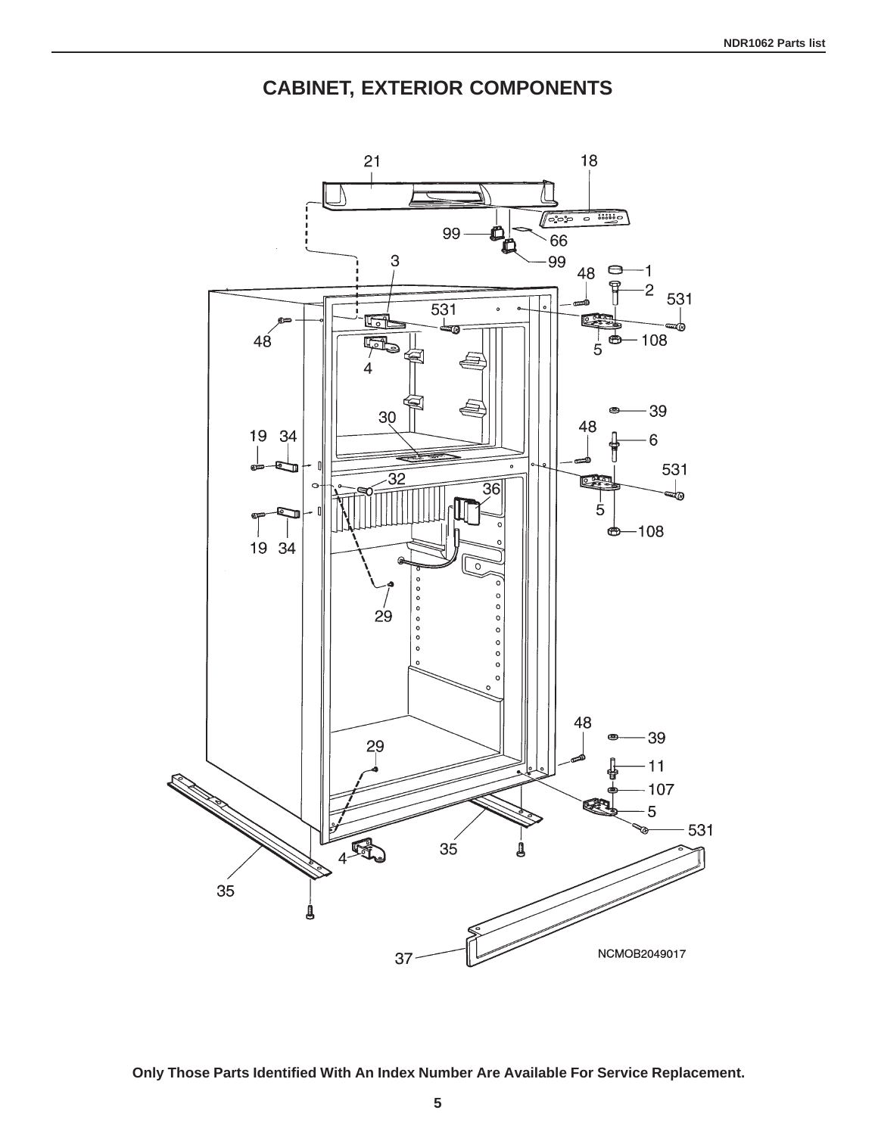**CABINET, EXTERIOR COMPONENTS**



**Only Those Parts Identified With An Index Number Are Available For Service Replacement.**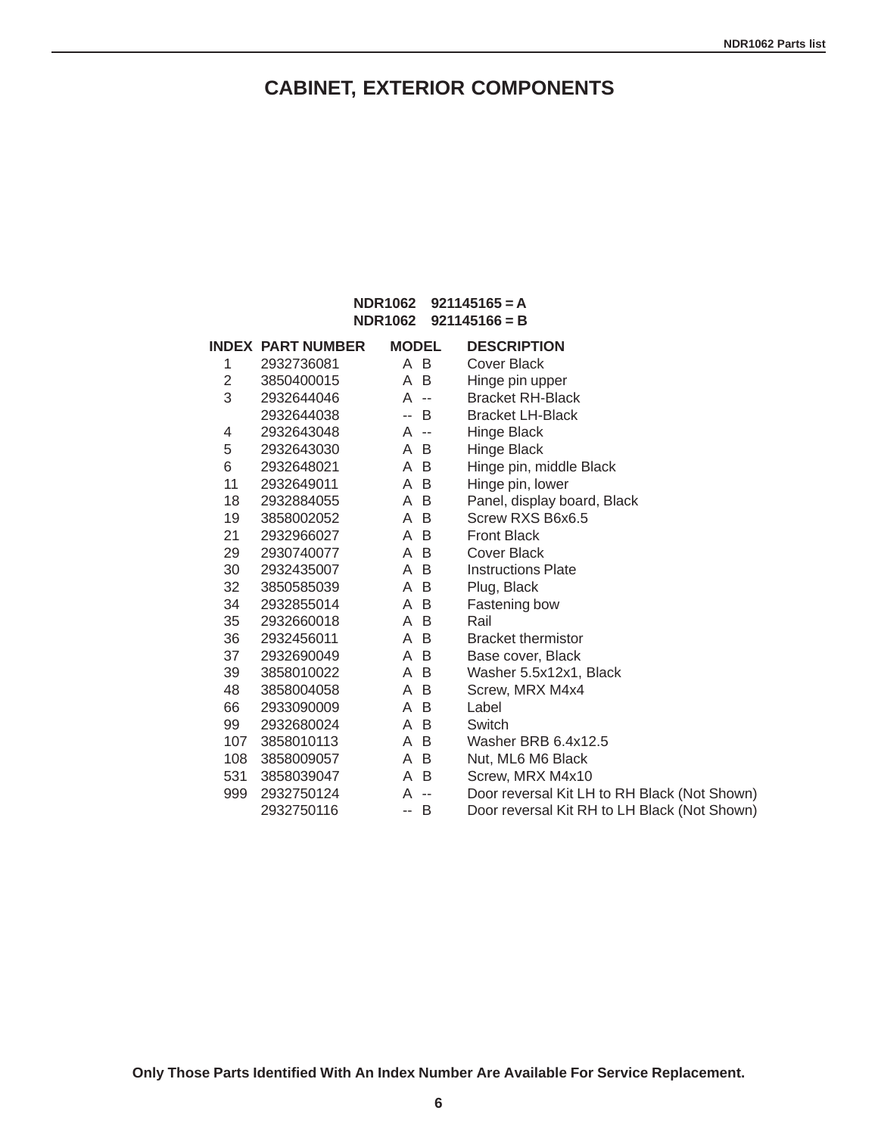## **CABINET, EXTERIOR COMPONENTS**

#### **NDR1062 921145165 = A NDR1062 921145166 = B**

|                | <b>INDEX PART NUMBER</b> | <b>MODEL</b>           | <b>DESCRIPTION</b>                           |
|----------------|--------------------------|------------------------|----------------------------------------------|
| 1              | 2932736081               | A B                    | <b>Cover Black</b>                           |
| $\overline{2}$ | 3850400015               | A B                    | Hinge pin upper                              |
| 3              | 2932644046               | A --                   | <b>Bracket RH-Black</b>                      |
|                | 2932644038               | <sup>B</sup><br>$\sim$ | <b>Bracket LH-Black</b>                      |
| 4              | 2932643048               | A --                   | Hinge Black                                  |
| 5              | 2932643030               | A B                    | Hinge Black                                  |
| 6              | 2932648021               | A B                    | Hinge pin, middle Black                      |
| 11             | 2932649011               | A B                    | Hinge pin, lower                             |
| 18             | 2932884055               | A B                    | Panel, display board, Black                  |
| 19             | 3858002052               | A B                    | Screw RXS B6x6.5                             |
| 21             | 2932966027               | A B                    | <b>Front Black</b>                           |
| 29             | 2930740077               | A B                    | Cover Black                                  |
| 30             | 2932435007               | A B                    | <b>Instructions Plate</b>                    |
| 32             | 3850585039               | A B                    | Plug, Black                                  |
| 34             | 2932855014               | A B                    | Fastening bow                                |
| 35             | 2932660018               | A B                    | Rail                                         |
| 36             | 2932456011               | A B                    | <b>Bracket thermistor</b>                    |
| 37             | 2932690049               | A B                    | Base cover, Black                            |
| 39             | 3858010022               | A B                    | Washer 5.5x12x1, Black                       |
| 48             | 3858004058               | A B                    | Screw, MRX M4x4                              |
| 66             | 2933090009               | A B                    | Label                                        |
| 99             | 2932680024               | A B                    | Switch                                       |
| 107            | 3858010113               | A B                    | Washer BRB 6.4x12.5                          |
| 108            | 3858009057               | A B                    | Nut, ML6 M6 Black                            |
| 531            | 3858039047               | A B                    | Screw, MRX M4x10                             |
| 999            | 2932750124               | A<br>$\sim$            | Door reversal Kit LH to RH Black (Not Shown) |
|                | 2932750116               | - B<br>н.              | Door reversal Kit RH to LH Black (Not Shown) |

**6**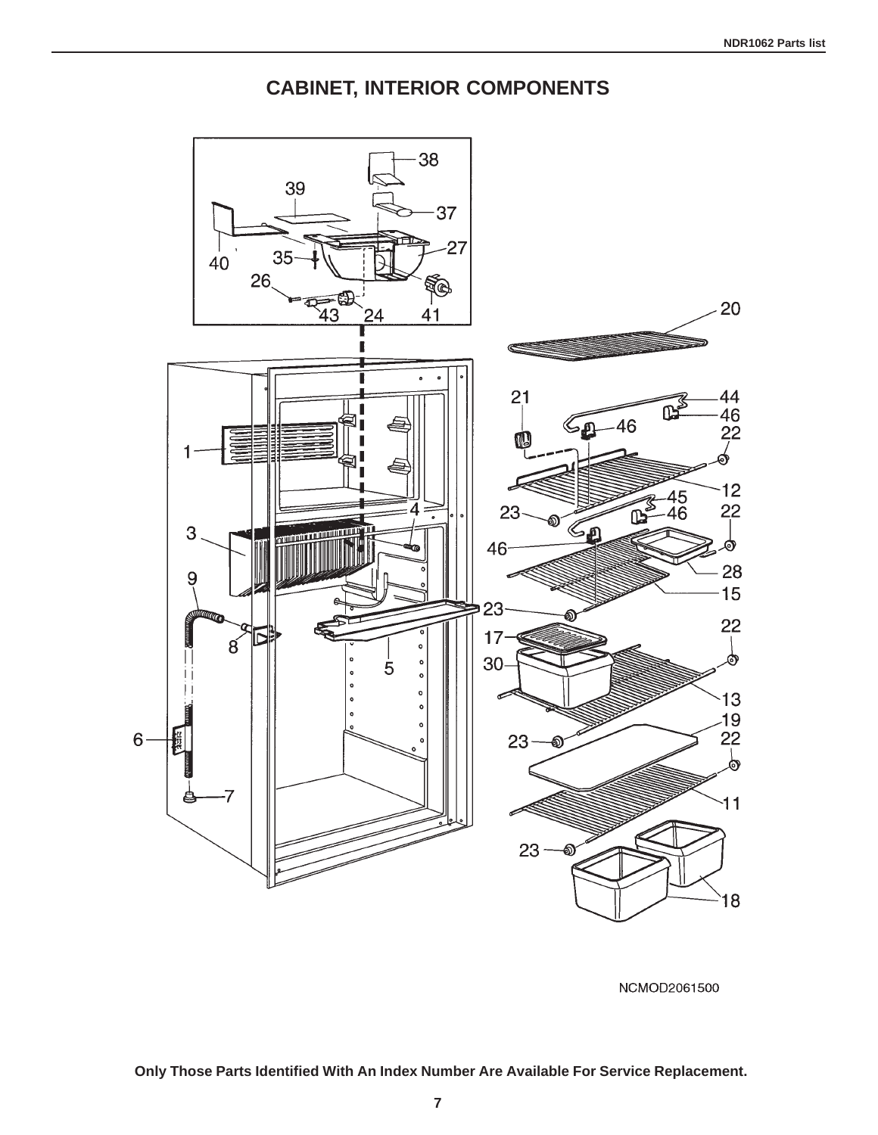**CABINET, INTERIOR COMPONENTS**



NCMOD2061500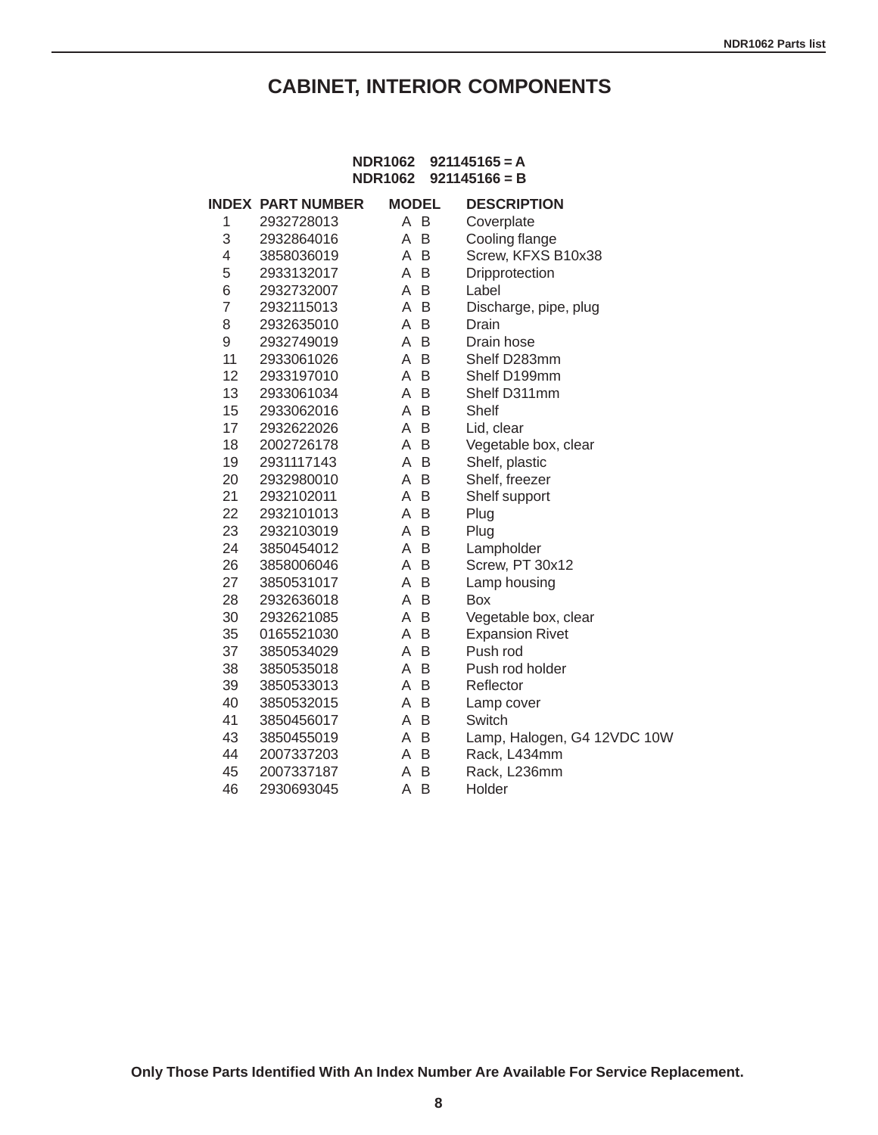## **CABINET, INTERIOR COMPONENTS**

### **NDR1062 921145165 = A NDR1062 921145166 = B**

|                | <b>INDEX PART NUMBER</b> | <b>MODEL</b> | <b>DESCRIPTION</b>          |
|----------------|--------------------------|--------------|-----------------------------|
| 1              | 2932728013               | A B          | Coverplate                  |
| 3              | 2932864016               | A B          | Cooling flange              |
| 4              | 3858036019               | B<br>A       | Screw, KFXS B10x38          |
| 5              | 2933132017               | B<br>A       | Dripprotection              |
| 6              | 2932732007               | B<br>A       | Label                       |
| $\overline{7}$ | 2932115013               | A<br>-B      | Discharge, pipe, plug       |
| 8              | 2932635010               | B<br>A       | Drain                       |
| 9              | 2932749019               | B<br>A       | Drain hose                  |
| 11             | 2933061026               | B<br>A       | Shelf D283mm                |
| 12             | 2933197010               | B<br>A       | Shelf D199mm                |
| 13             | 2933061034               | A<br>B       | Shelf D311mm                |
| 15             | 2933062016               | B<br>A       | Shelf                       |
| 17             | 2932622026               | B<br>A       | Lid, clear                  |
| 18             | 2002726178               | B<br>Α       | Vegetable box, clear        |
| 19             | 2931117143               | B<br>A       | Shelf, plastic              |
| 20             | 2932980010               | A<br>B       | Shelf, freezer              |
| 21             | 2932102011               | B<br>A       | Shelf support               |
| 22             | 2932101013               | A<br>B       | Plug                        |
| 23             | 2932103019               | B<br>A       | Plug                        |
| 24             | 3850454012               | B<br>A       | Lampholder                  |
| 26             | 3858006046               | B<br>Α       | Screw, PT 30x12             |
| 27             | 3850531017               | B<br>A       | Lamp housing                |
| 28             | 2932636018               | B<br>A       | <b>Box</b>                  |
| 30             | 2932621085               | B<br>A       | Vegetable box, clear        |
| 35             | 0165521030               | B<br>A       | <b>Expansion Rivet</b>      |
| 37             | 3850534029               | B<br>A       | Push rod                    |
| 38             | 3850535018               | B<br>A       | Push rod holder             |
| 39             | 3850533013               | B<br>A       | Reflector                   |
| 40             | 3850532015               | B<br>A       | Lamp cover                  |
| 41             | 3850456017               | B<br>A       | Switch                      |
| 43             | 3850455019               | B<br>A       | Lamp, Halogen, G4 12VDC 10W |
| 44             | 2007337203               | B<br>A       | Rack, L434mm                |
| 45             | 2007337187               | B<br>A       | Rack, L236mm                |
| 46             | 2930693045               | B<br>Α       | Holder                      |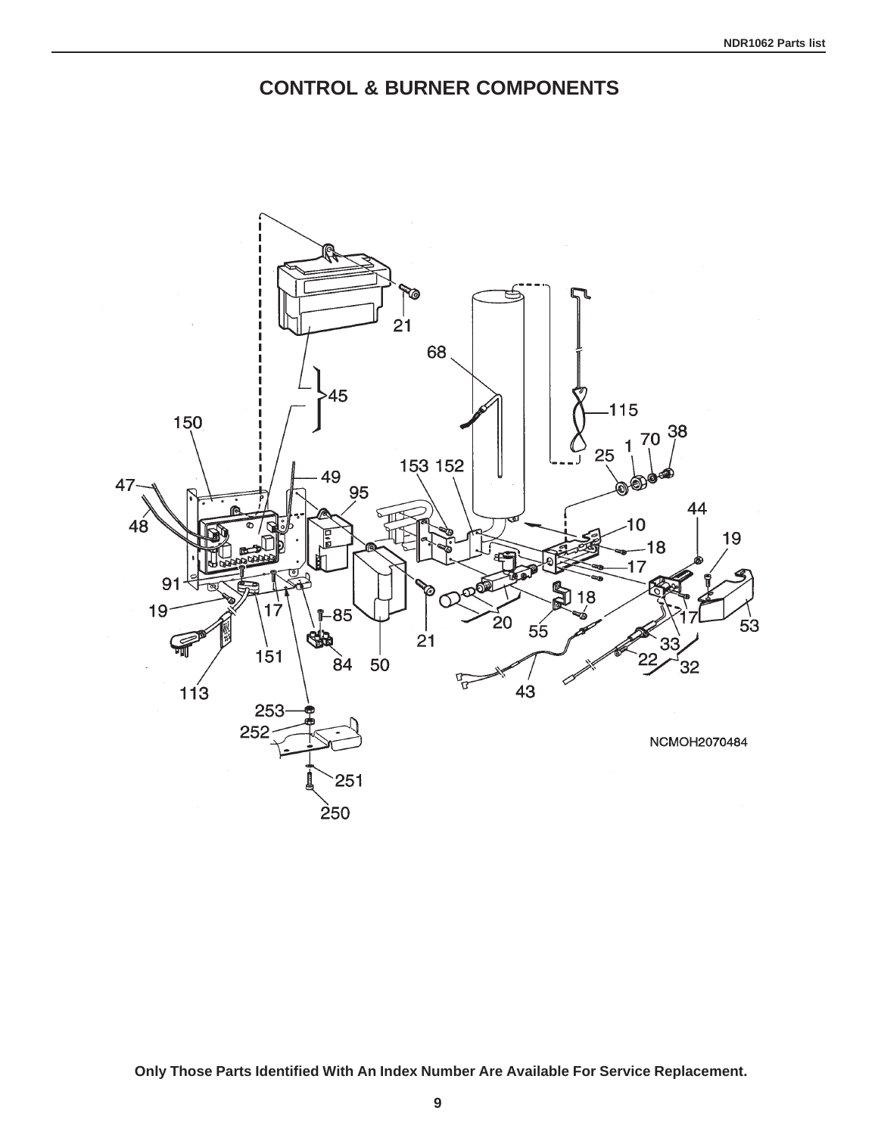## **CONTROL & BURNER COMPONENTS**

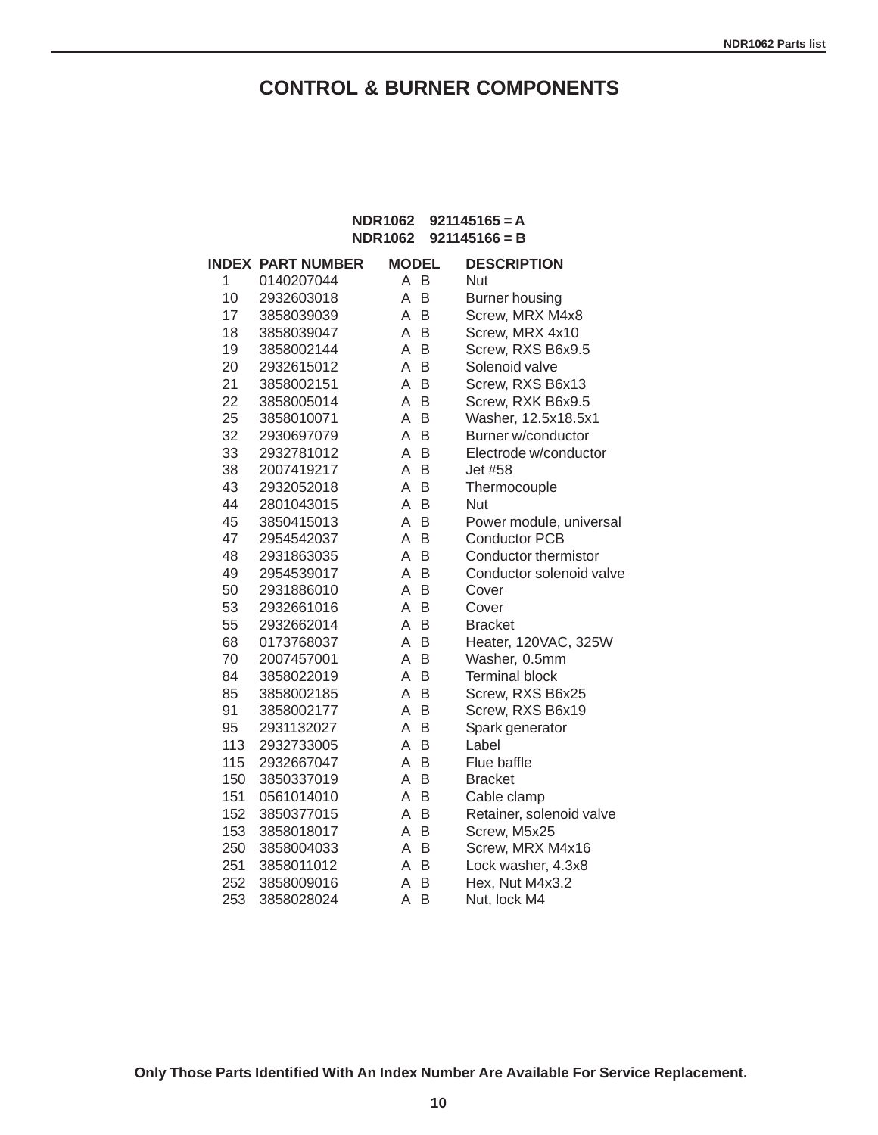## **CONTROL & BURNER COMPONENTS**

#### **NDR1062 921145165 = A NDR1062 921145166 = B**

|     | <b>INDEX PART NUMBER</b> | <b>MODEL</b> |   | <b>DESCRIPTION</b>       |
|-----|--------------------------|--------------|---|--------------------------|
| 1   | 0140207044               | A B          |   | <b>Nut</b>               |
| 10  | 2932603018               | A            | B | <b>Burner housing</b>    |
| 17  | 3858039039               | A            | B | Screw, MRX M4x8          |
| 18  | 3858039047               | A            | B | Screw, MRX 4x10          |
| 19  | 3858002144               | A            | B | Screw, RXS B6x9.5        |
| 20  | 2932615012               | A            | B | Solenoid valve           |
| 21  | 3858002151               | A            | B | Screw, RXS B6x13         |
| 22  | 3858005014               | A            | B | Screw, RXK B6x9.5        |
| 25  | 3858010071               | A            | B | Washer, 12.5x18.5x1      |
| 32  | 2930697079               | A            | B | Burner w/conductor       |
| 33  | 2932781012               | A            | B | Electrode w/conductor    |
| 38  | 2007419217               | A            | B | Jet #58                  |
| 43  | 2932052018               | A            | B | Thermocouple             |
| 44  | 2801043015               | A            | B | Nut                      |
| 45  | 3850415013               | A            | B | Power module, universal  |
| 47  | 2954542037               | A            | B | <b>Conductor PCB</b>     |
| 48  | 2931863035               | A            | B | Conductor thermistor     |
| 49  | 2954539017               | A            | B | Conductor solenoid valve |
| 50  | 2931886010               | A            | B | Cover                    |
| 53  | 2932661016               | A            | B | Cover                    |
| 55  | 2932662014               | A            | B | <b>Bracket</b>           |
| 68  | 0173768037               | A            | B | Heater, 120VAC, 325W     |
| 70  | 2007457001               | A            | B | Washer, 0.5mm            |
| 84  | 3858022019               | A            | B | <b>Terminal block</b>    |
| 85  | 3858002185               | A            | B | Screw, RXS B6x25         |
| 91  | 3858002177               | A            | B | Screw, RXS B6x19         |
| 95  | 2931132027               | A            | B | Spark generator          |
| 113 | 2932733005               | A            | B | Label                    |
| 115 | 2932667047               | A            | B | Flue baffle              |
| 150 | 3850337019               | A            | B | <b>Bracket</b>           |
| 151 | 0561014010               | A            | B | Cable clamp              |
| 152 | 3850377015               | A            | B | Retainer, solenoid valve |
| 153 | 3858018017               | A            | B | Screw, M5x25             |
| 250 | 3858004033               | Α            | B | Screw, MRX M4x16         |
| 251 | 3858011012               | A            | B | Lock washer, 4.3x8       |
| 252 | 3858009016               | A            | B | Hex, Nut M4x3.2          |
| 253 | 3858028024               | A            | B | Nut, lock M4             |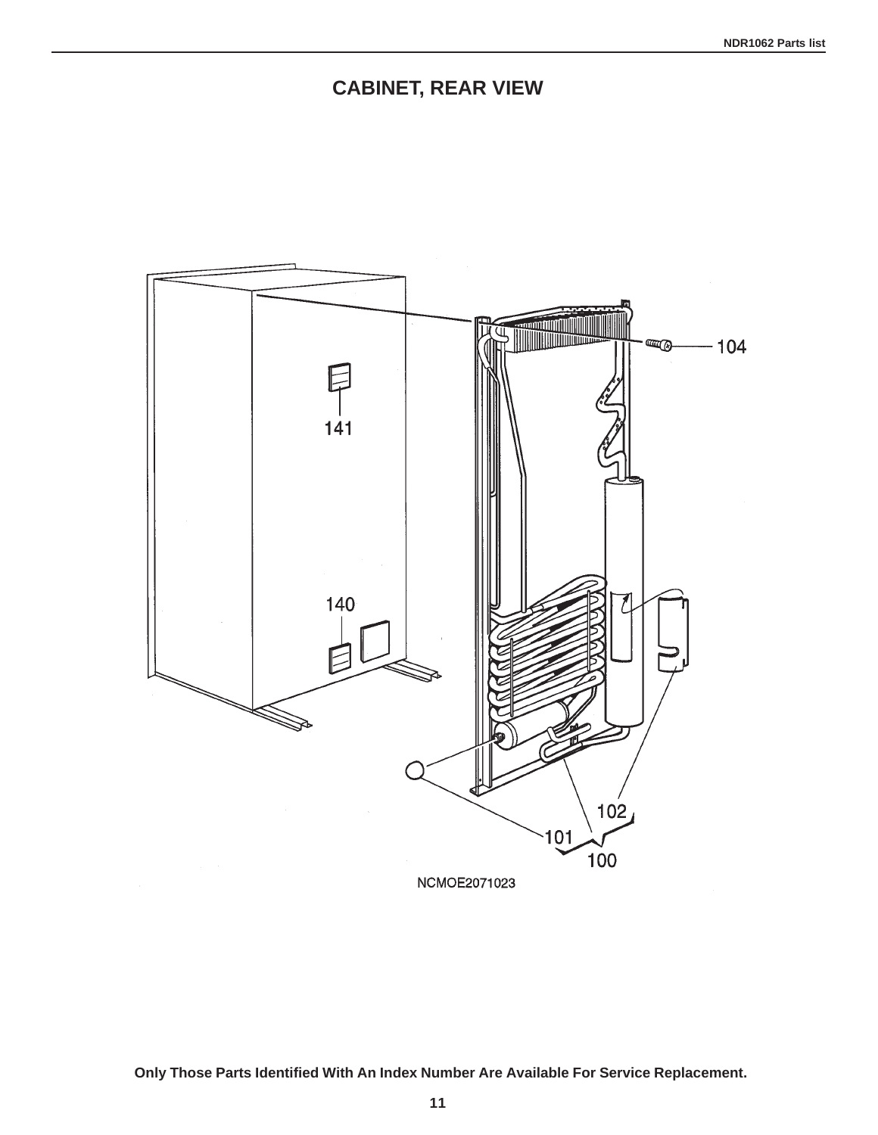## **CABINET, REAR VIEW**

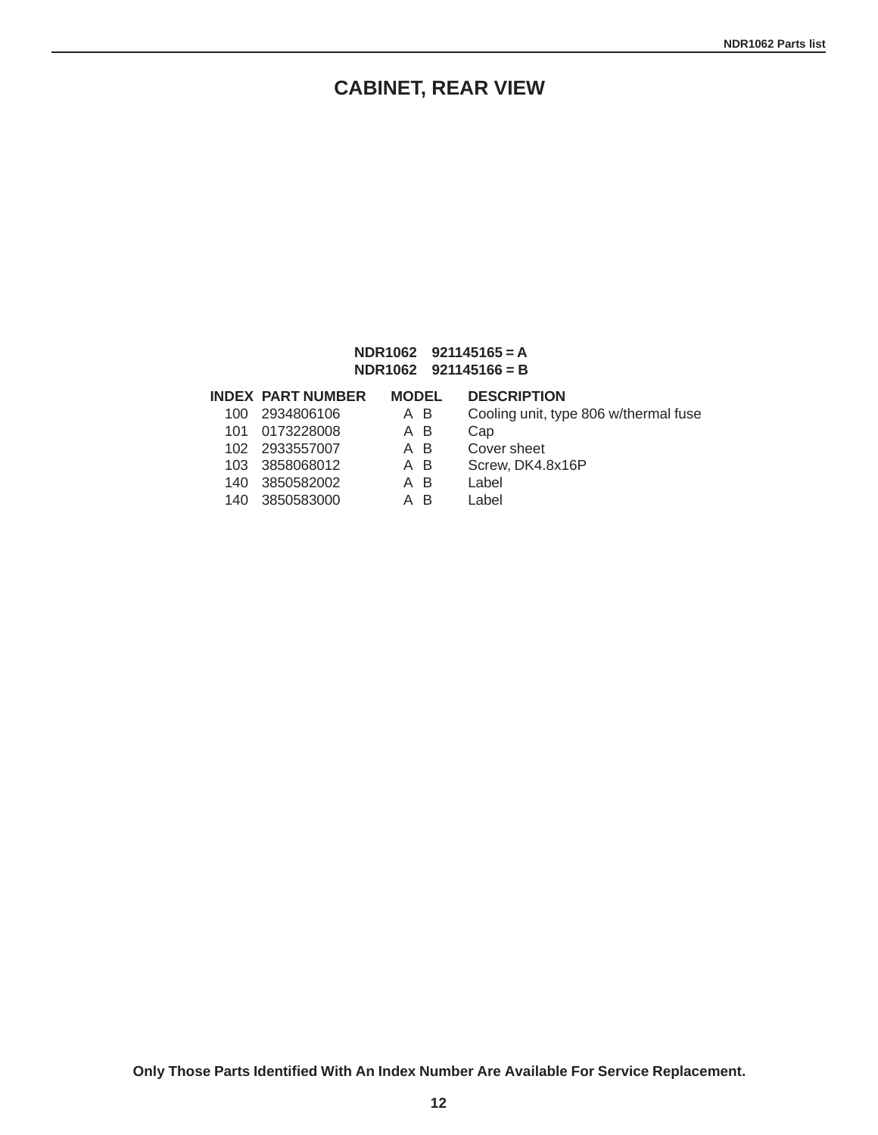## **CABINET, REAR VIEW**

#### **NDR1062 921145165 = A NDR1062 921145166 = B**

### **INDEX PART NUMBER MODEL DESCRIPTION**

- 100 2934806106 A B Cooling unit, type 806 w/thermal fuse
- 101 0173228008 A B Cap
- 102 2933557007 A B Cover sheet 103 3858068012 A B Screw, DK4.8x16P
- 140 3850582002 140 3850583000 A B Label
- -

**Only Those Parts Identified With An Index Number Are Available For Service Replacement.**